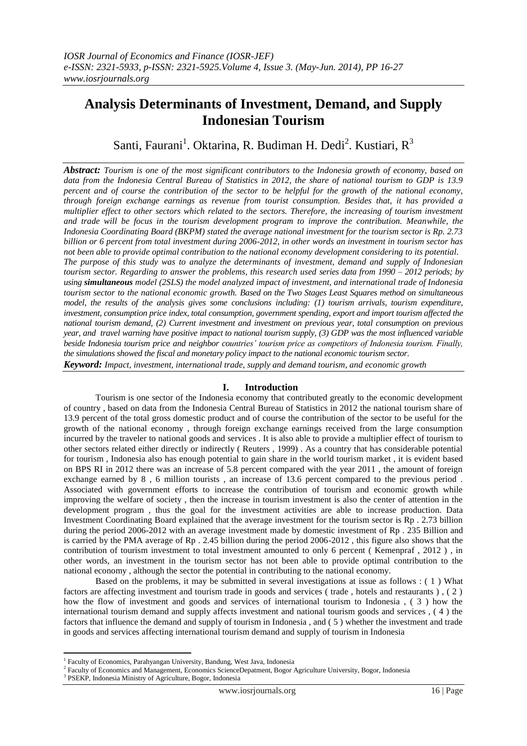# **Analysis Determinants of Investment, Demand, and Supply Indonesian Tourism**

Santi, Faurani<sup>1</sup>. Oktarina, R. Budiman H. Dedi<sup>2</sup>. Kustiari, R<sup>3</sup>

*Abstract: Tourism is one of the most significant contributors to the Indonesia growth of economy, based on data from the Indonesia Central Bureau of Statistics in 2012, the share of national tourism to GDP is 13.9 percent and of course the contribution of the sector to be helpful for the growth of the national economy, through foreign exchange earnings as revenue from tourist consumption. Besides that, it has provided a multiplier effect to other sectors which related to the sectors. Therefore, the increasing of tourism investment and trade will be focus in the tourism development program to improve the contribution. Meanwhile, the Indonesia Coordinating Board (BKPM) stated the average national investment for the tourism sector is Rp. 2.73 billion or 6 percent from total investment during 2006-2012, in other words an investment in tourism sector has not been able to provide optimal contribution to the national economy development considering to its potential. The purpose of this study was to analyze the determinants of investment, demand and supply of Indonesian tourism sector. Regarding to answer the problems, this research used series data from 1990 – 2012 periods; by using simultaneous model (2SLS) the model analyzed impact of investment, and international trade of Indonesia tourism sector to the national economic growth. Based on the Two Stages Least Squares method on simultaneous model, the results of the analysis gives some conclusions including: (1) tourism arrivals, tourism expenditure, investment, consumption price index, total consumption, government spending, export and import tourism affected the national tourism demand, (2) Current investment and investment on previous year, total consumption on previous year, and travel warning have positive impact to national tourism supply, (3) GDP was the most influenced variable beside Indonesia tourism price and neighbor countries' tourism price as competitors of Indonesia tourism. Finally, the simulations showed the fiscal and monetary policy impact to the national economic tourism sector.* 

*Keyword: Impact, investment, international trade, supply and demand tourism, and economic growth*

## **I. Introduction**

Tourism is one sector of the Indonesia economy that contributed greatly to the economic development of country , based on data from the Indonesia Central Bureau of Statistics in 2012 the national tourism share of 13.9 percent of the total gross domestic product and of course the contribution of the sector to be useful for the growth of the national economy , through foreign exchange earnings received from the large consumption incurred by the traveler to national goods and services . It is also able to provide a multiplier effect of tourism to other sectors related either directly or indirectly ( Reuters , 1999) . As a country that has considerable potential for tourism , Indonesia also has enough potential to gain share in the world tourism market , it is evident based on BPS RI in 2012 there was an increase of 5.8 percent compared with the year 2011 , the amount of foreign exchange earned by 8 , 6 million tourists , an increase of 13.6 percent compared to the previous period . Associated with government efforts to increase the contribution of tourism and economic growth while improving the welfare of society , then the increase in tourism investment is also the center of attention in the development program , thus the goal for the investment activities are able to increase production. Data Investment Coordinating Board explained that the average investment for the tourism sector is Rp . 2.73 billion during the period 2006-2012 with an average investment made by domestic investment of Rp . 235 Billion and is carried by the PMA average of Rp . 2.45 billion during the period 2006-2012 , this figure also shows that the contribution of tourism investment to total investment amounted to only 6 percent ( Kemenpraf , 2012 ) , in other words, an investment in the tourism sector has not been able to provide optimal contribution to the national economy , although the sector the potential in contributing to the national economy.

Based on the problems, it may be submitted in several investigations at issue as follows : ( 1 ) What factors are affecting investment and tourism trade in goods and services ( trade , hotels and restaurants ) , ( 2 ) how the flow of investment and goods and services of international tourism to Indonesia , ( 3 ) how the international tourism demand and supply affects investment and national tourism goods and services , ( 4 ) the factors that influence the demand and supply of tourism in Indonesia , and ( 5 ) whether the investment and trade in goods and services affecting international tourism demand and supply of tourism in Indonesia

**.** 

<sup>&</sup>lt;sup>1</sup> Faculty of Economics, Parahyangan University, Bandung, West Java, Indonesia

<sup>&</sup>lt;sup>2</sup> Faculty of Economics and Management, Economics ScienceDepatment, Bogor Agriculture University, Bogor, Indonesia

<sup>3</sup> PSEKP, Indonesia Ministry of Agriculture, Bogor, Indonesia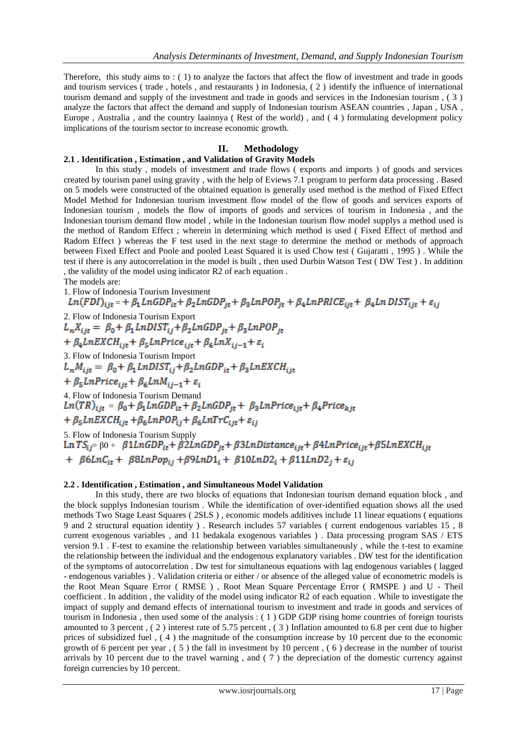Therefore, this study aims to : ( 1) to analyze the factors that affect the flow of investment and trade in goods and tourism services ( trade , hotels , and restaurants ) in Indonesia, ( 2 ) identify the influence of international tourism demand and supply of the investment and trade in goods and services in the Indonesian tourism , ( 3 ) analyze the factors that affect the demand and supply of Indonesian tourism ASEAN countries , Japan , USA , Europe , Australia , and the country laainnya ( Rest of the world) , and ( 4 ) formulating development policy implications of the tourism sector to increase economic growth.

## **II. Methodology**

#### **2.1 . Identification , Estimation , and Validation of Gravity Models**

In this study , models of investment and trade flows ( exports and imports ) of goods and services created by tourism panel using gravity , with the help of Eviews 7.1 program to perform data processing . Based on 5 models were constructed of the obtained equation is generally used method is the method of Fixed Effect Model Method for Indonesian tourism investment flow model of the flow of goods and services exports of Indonesian tourism , models the flow of imports of goods and services of tourism in Indonesia , and the Indonesian tourism demand flow model , while in the Indonesian tourism flow model supplys a method used is the method of Random Effect ; wherein in determining which method is used ( Fixed Effect of method and Radom Effect ) whereas the F test used in the next stage to determine the method or methods of approach between Fixed Effect and Poole and pooled Least Squared it is used Chow test ( Gujaratti , 1995 ) . While the test if there is any autocorrelation in the model is built , then used Durbin Watson Test ( DW Test ) . In addition , the validity of the model using indicator R2 of each equation . The models are:

1. Flow of Indonesia Tourism Investment  $Ln(FDI)_{ijt}$  = +  $\beta_1 LnGDP_{it} + \beta_2 LnGDP_{it} + \beta_3 LnPOP_{it} + \beta_4 LnPRICE_{ijt} + \beta_4 LnDIST_{ijt} + \varepsilon_{ij}$ 2. Flow of Indonesia Tourism Export<br>  $L_n X_{ijt} = \beta_0 + \beta_1 LnDIST_{ij} + \beta_2 LnGDP_{jt} + \beta_3 LnPOP_{it}$  $+\ \beta _4 LnEXCH_{ijt}+\beta _5 LnPrice_{ijt}+\beta _6 LnX_{ij-1}+\varepsilon _i$ 3. Flow of Indonesia Tourism Import<br> $L_n M_{ijt} = \beta_0 + \beta_1 LnDIST_{ij} + \beta_2 LnGDP_{it} + \beta_3 LnEXCH_{ijt}$ +  $\beta_5$ *LnPrice*<sub>iit</sub> +  $\beta_6$ *LnM*<sub>ii-1</sub> +  $\varepsilon_i$ 4. Flow of Indonesia Tourism Demand  $Ln(TR)_{ii} = \beta_0 + \beta_1 LnGDP_{it} + \beta_2 LnGDP_{it} + \beta_3 LnPrice_{iit} + \beta_4 Price_{kit}$ +  $\beta_5$ *LnEXCH*<sub>it</sub> +  $\beta_6$ *LnPOP*<sub>ij</sub> +  $\beta_6$ *LnTrC*<sub>ijt</sub> +  $\varepsilon$ <sub>ij</sub> 5. Flow of Indonesia Tourism Supply Ln TS<sub>ij</sub> β0 + β1LnGDP<sub>it</sub> + β2LnGDP<sub>it</sub> + β3LnDistance<sub>ijt</sub> + β4LnPrice<sub>ijt</sub> + β5LnEXCH<sub>ijt</sub> +  $\beta 6LnC_{it}$  +  $\beta 8LnPop_{ij}$  +  $\beta 9LnD1_i$  +  $\beta 10LnD2_i$  +  $\beta 11LnD2_j$  +  $\varepsilon_{ij}$ 

#### **2.2 . Identification , Estimation , and Simultaneous Model Validation**

In this study, there are two blocks of equations that Indonesian tourism demand equation block, and the block supplys Indonesian tourism . While the identification of over-identified equation shows all the used methods Two Stage Least Squares ( 2SLS ) , economic models additives include 11 linear equations ( equations 9 and 2 structural equation identity ) . Research includes 57 variables ( current endogenous variables 15 , 8 current exogenous variables , and 11 bedakala exogenous variables ) . Data processing program SAS / ETS version 9.1 . F-test to examine the relationship between variables simultaneously , while the t-test to examine the relationship between the individual and the endogenous explanatory variables . DW test for the identification of the symptoms of autocorrelation . Dw test for simultaneous equations with lag endogenous variables ( lagged - endogenous variables ) . Validation criteria or either / or absence of the alleged value of econometric models is the Root Mean Square Error ( RMSE ) , Root Mean Square Percentage Error ( RMSPE ) and U - Theil coefficient . In addition , the validity of the model using indicator R2 of each equation . While to investigate the impact of supply and demand effects of international tourism to investment and trade in goods and services of tourism in Indonesia , then used some of the analysis : ( 1 ) GDP GDP rising home countries of foreign tourists amounted to 3 percent , ( 2 ) interest rate of 5.75 percent , ( 3 ) Inflation amounted to 6.8 per cent due to higher prices of subsidized fuel , ( 4 ) the magnitude of the consumption increase by 10 percent due to the economic growth of 6 percent per year , ( 5 ) the fall in investment by 10 percent , ( 6 ) decrease in the number of tourist arrivals by 10 percent due to the travel warning , and ( 7 ) the depreciation of the domestic currency against foreign currencies by 10 percent.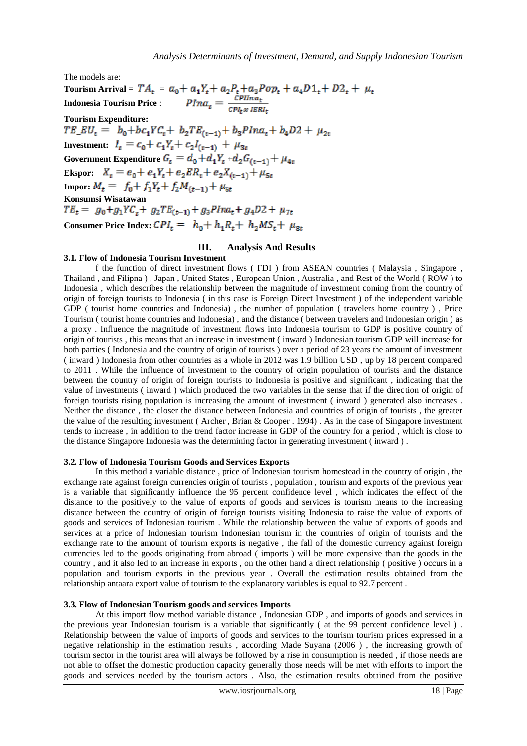The models are:

**Tourism Arrival =**  $TA_t =$ **Indonesia Tourism Price** : Tourism Expenditure:<br>  $TE\_EU_t = b_0 + bc_1 Y C_t + b_2 TE_{(t-1)} + b_3 P Ina_t + b_4 D2 + \mu_{2t}$ **Investment:**  $I_t = c_0 + c_1 Y_t + c_2 I_{(t-1)} + \mu_{3t}$ Government Expenditure  $G_t = d_0 + d_1 Y_t + d_2 G_{(t-1)} + \mu_{4t}$ **Ekspor:**  $X_t = e_0 + e_1 Y_t + e_2 E R_t + e_2 X_{(t-1)} + \mu_{5t}$ **Impor:**  $M_t = f_0 + f_1 Y_t + f_2 M_{(t-1)} + \mu_{6t}$ **Konsumsi Wisatawan**<br> $TE_t = g_0 + g_1 Y C_t + g_2 TE_{(t-1)} + g_3 P Ina_t + g_4 D2 + \mu_{7t}$ **Consumer Price Index:**  $CPI_t = h_0 + h_1R_t + h_2MS_t + \mu_{8t}$ 

# **III. Analysis And Results**

#### **3.1. Flow of Indonesia Tourism Investment**

f the function of direct investment flows ( FDI ) from ASEAN countries ( Malaysia , Singapore , Thailand , and Filipna ) , Japan , United States , European Union , Australia , and Rest of the World ( ROW ) to Indonesia , which describes the relationship between the magnitude of investment coming from the country of origin of foreign tourists to Indonesia ( in this case is Foreign Direct Investment ) of the independent variable GDP ( tourist home countries and Indonesia), the number of population ( travelers home country), Price Tourism ( tourist home countries and Indonesia) , and the distance ( between travelers and Indonesian origin ) as a proxy . Influence the magnitude of investment flows into Indonesia tourism to GDP is positive country of origin of tourists , this means that an increase in investment ( inward ) Indonesian tourism GDP will increase for both parties ( Indonesia and the country of origin of tourists ) over a period of 23 years the amount of investment ( inward ) Indonesia from other countries as a whole in 2012 was 1.9 billion USD , up by 18 percent compared to 2011 . While the influence of investment to the country of origin population of tourists and the distance between the country of origin of foreign tourists to Indonesia is positive and significant , indicating that the value of investments ( inward ) which produced the two variables in the sense that if the direction of origin of foreign tourists rising population is increasing the amount of investment ( inward ) generated also increases . Neither the distance , the closer the distance between Indonesia and countries of origin of tourists , the greater the value of the resulting investment ( Archer , Brian & Cooper . 1994) . As in the case of Singapore investment tends to increase , in addition to the trend factor increase in GDP of the country for a period , which is close to the distance Singapore Indonesia was the determining factor in generating investment ( inward ) .

#### **3.2. Flow of Indonesia Tourism Goods and Services Exports**

In this method a variable distance , price of Indonesian tourism homestead in the country of origin , the exchange rate against foreign currencies origin of tourists , population , tourism and exports of the previous year is a variable that significantly influence the 95 percent confidence level , which indicates the effect of the distance to the positively to the value of exports of goods and services is tourism means to the increasing distance between the country of origin of foreign tourists visiting Indonesia to raise the value of exports of goods and services of Indonesian tourism . While the relationship between the value of exports of goods and services at a price of Indonesian tourism Indonesian tourism in the countries of origin of tourists and the exchange rate to the amount of tourism exports is negative , the fall of the domestic currency against foreign currencies led to the goods originating from abroad ( imports ) will be more expensive than the goods in the country , and it also led to an increase in exports , on the other hand a direct relationship ( positive ) occurs in a population and tourism exports in the previous year . Overall the estimation results obtained from the relationship antaara export value of tourism to the explanatory variables is equal to 92.7 percent .

#### **3.3. Flow of Indonesian Tourism goods and services Imports**

At this import flow method variable distance , Indonesian GDP , and imports of goods and services in the previous year Indonesian tourism is a variable that significantly ( at the 99 percent confidence level ) . Relationship between the value of imports of goods and services to the tourism tourism prices expressed in a negative relationship in the estimation results , according Made Suyana (2006 ) , the increasing growth of tourism sector in the tourist area will always be followed by a rise in consumption is needed , if those needs are not able to offset the domestic production capacity generally those needs will be met with efforts to import the goods and services needed by the tourism actors . Also, the estimation results obtained from the positive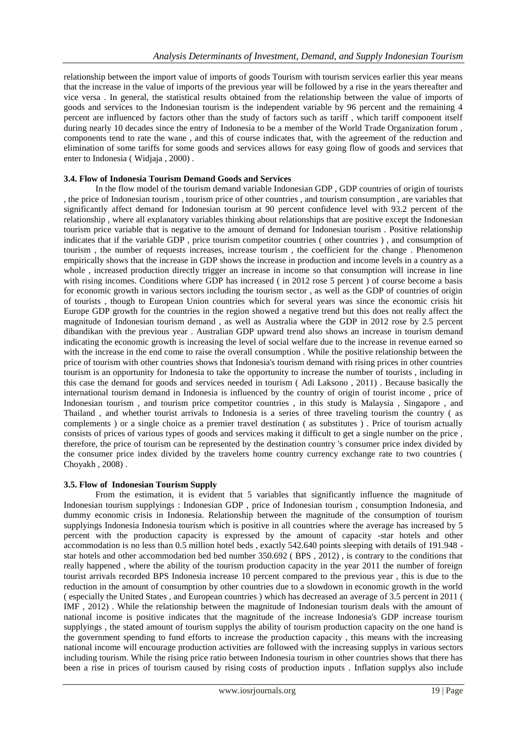relationship between the import value of imports of goods Tourism with tourism services earlier this year means that the increase in the value of imports of the previous year will be followed by a rise in the years thereafter and vice versa . In general, the statistical results obtained from the relationship between the value of imports of goods and services to the Indonesian tourism is the independent variable by 96 percent and the remaining 4 percent are influenced by factors other than the study of factors such as tariff , which tariff component itself during nearly 10 decades since the entry of Indonesia to be a member of the World Trade Organization forum , components tend to rate the wane , and this of course indicates that, with the agreement of the reduction and elimination of some tariffs for some goods and services allows for easy going flow of goods and services that enter to Indonesia ( Widjaja , 2000) .

## **3.4. Flow of Indonesia Tourism Demand Goods and Services**

In the flow model of the tourism demand variable Indonesian GDP , GDP countries of origin of tourists , the price of Indonesian tourism , tourism price of other countries , and tourism consumption , are variables that significantly affect demand for Indonesian tourism at 90 percent confidence level with 93.2 percent of the relationship , where all explanatory variables thinking about relationships that are positive except the Indonesian tourism price variable that is negative to the amount of demand for Indonesian tourism . Positive relationship indicates that if the variable GDP , price tourism competitor countries ( other countries ) , and consumption of tourism , the number of requests increases, increase tourism , the coefficient for the change . Phenomenon empirically shows that the increase in GDP shows the increase in production and income levels in a country as a whole , increased production directly trigger an increase in income so that consumption will increase in line with rising incomes. Conditions where GDP has increased (in 2012 rose 5 percent) of course become a basis for economic growth in various sectors including the tourism sector , as well as the GDP of countries of origin of tourists , though to European Union countries which for several years was since the economic crisis hit Europe GDP growth for the countries in the region showed a negative trend but this does not really affect the magnitude of Indonesian tourism demand , as well as Australia where the GDP in 2012 rose by 2.5 percent dibandikan with the previous year . Australian GDP upward trend also shows an increase in tourism demand indicating the economic growth is increasing the level of social welfare due to the increase in revenue earned so with the increase in the end come to raise the overall consumption . While the positive relationship between the price of tourism with other countries shows that Indonesia's tourism demand with rising prices in other countries tourism is an opportunity for Indonesia to take the opportunity to increase the number of tourists , including in this case the demand for goods and services needed in tourism ( Adi Laksono , 2011) . Because basically the international tourism demand in Indonesia is influenced by the country of origin of tourist income , price of Indonesian tourism , and tourism price competitor countries , in this study is Malaysia , Singapore , and Thailand , and whether tourist arrivals to Indonesia is a series of three traveling tourism the country ( as complements ) or a single choice as a premier travel destination ( as substitutes ) . Price of tourism actually consists of prices of various types of goods and services making it difficult to get a single number on the price , therefore, the price of tourism can be represented by the destination country 's consumer price index divided by the consumer price index divided by the travelers home country currency exchange rate to two countries ( Choyakh , 2008) .

#### **3.5. Flow of Indonesian Tourism Supply**

From the estimation, it is evident that 5 variables that significantly influence the magnitude of Indonesian tourism supplyings : Indonesian GDP , price of Indonesian tourism , consumption Indonesia, and dummy economic crisis in Indonesia. Relationship between the magnitude of the consumption of tourism supplyings Indonesia Indonesia tourism which is positive in all countries where the average has increased by 5 percent with the production capacity is expressed by the amount of capacity -star hotels and other accommodation is no less than 0.5 million hotel beds, exactly 542.640 points sleeping with details of 191.948 star hotels and other accommodation bed bed number 350.692 ( BPS , 2012) , is contrary to the conditions that really happened , where the ability of the tourism production capacity in the year 2011 the number of foreign tourist arrivals recorded BPS Indonesia increase 10 percent compared to the previous year , this is due to the reduction in the amount of consumption by other countries due to a slowdown in economic growth in the world ( especially the United States , and European countries ) which has decreased an average of 3.5 percent in 2011 ( IMF , 2012) . While the relationship between the magnitude of Indonesian tourism deals with the amount of national income is positive indicates that the magnitude of the increase Indonesia's GDP increase tourism supplyings , the stated amount of tourism supplys the ability of tourism production capacity on the one hand is the government spending to fund efforts to increase the production capacity , this means with the increasing national income will encourage production activities are followed with the increasing supplys in various sectors including tourism. While the rising price ratio between Indonesia tourism in other countries shows that there has been a rise in prices of tourism caused by rising costs of production inputs . Inflation supplys also include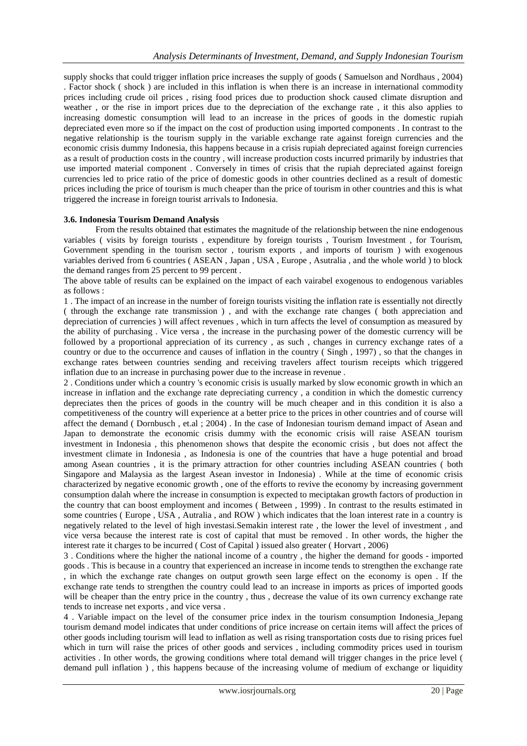supply shocks that could trigger inflation price increases the supply of goods ( Samuelson and Nordhaus , 2004) . Factor shock ( shock ) are included in this inflation is when there is an increase in international commodity prices including crude oil prices , rising food prices due to production shock caused climate disruption and weather , or the rise in import prices due to the depreciation of the exchange rate , it this also applies to increasing domestic consumption will lead to an increase in the prices of goods in the domestic rupiah depreciated even more so if the impact on the cost of production using imported components . In contrast to the negative relationship is the tourism supply in the variable exchange rate against foreign currencies and the economic crisis dummy Indonesia, this happens because in a crisis rupiah depreciated against foreign currencies as a result of production costs in the country , will increase production costs incurred primarily by industries that use imported material component . Conversely in times of crisis that the rupiah depreciated against foreign currencies led to price ratio of the price of domestic goods in other countries declined as a result of domestic prices including the price of tourism is much cheaper than the price of tourism in other countries and this is what triggered the increase in foreign tourist arrivals to Indonesia.

## **3.6. Indonesia Tourism Demand Analysis**

From the results obtained that estimates the magnitude of the relationship between the nine endogenous variables ( visits by foreign tourists , expenditure by foreign tourists , Tourism Investment , for Tourism, Government spending in the tourism sector , tourism exports , and imports of tourism ) with exogenous variables derived from 6 countries ( ASEAN , Japan , USA , Europe , Asutralia , and the whole world ) to block the demand ranges from 25 percent to 99 percent.

The above table of results can be explained on the impact of each vairabel exogenous to endogenous variables as follows :

1 . The impact of an increase in the number of foreign tourists visiting the inflation rate is essentially not directly ( through the exchange rate transmission ) , and with the exchange rate changes ( both appreciation and depreciation of currencies ) will affect revenues , which in turn affects the level of consumption as measured by the ability of purchasing . Vice versa , the increase in the purchasing power of the domestic currency will be followed by a proportional appreciation of its currency , as such , changes in currency exchange rates of a country or due to the occurrence and causes of inflation in the country ( Singh , 1997) , so that the changes in exchange rates between countries sending and receiving travelers affect tourism receipts which triggered inflation due to an increase in purchasing power due to the increase in revenue .

2 . Conditions under which a country 's economic crisis is usually marked by slow economic growth in which an increase in inflation and the exchange rate depreciating currency , a condition in which the domestic currency depreciates then the prices of goods in the country will be much cheaper and in this condition it is also a competitiveness of the country will experience at a better price to the prices in other countries and of course will affect the demand ( Dornbusch , et.al ; 2004) . In the case of Indonesian tourism demand impact of Asean and Japan to demonstrate the economic crisis dummy with the economic crisis will raise ASEAN tourism investment in Indonesia , this phenomenon shows that despite the economic crisis , but does not affect the investment climate in Indonesia , as Indonesia is one of the countries that have a huge potential and broad among Asean countries , it is the primary attraction for other countries including ASEAN countries ( both Singapore and Malaysia as the largest Asean investor in Indonesia) . While at the time of economic crisis characterized by negative economic growth , one of the efforts to revive the economy by increasing government consumption dalah where the increase in consumption is expected to meciptakan growth factors of production in the country that can boost employment and incomes ( Between , 1999) . In contrast to the results estimated in some countries ( Europe , USA , Autralia , and ROW ) which indicates that the loan interest rate in a country is negatively related to the level of high investasi.Semakin interest rate , the lower the level of investment , and vice versa because the interest rate is cost of capital that must be removed . In other words, the higher the interest rate it charges to be incurred ( Cost of Capital ) issued also greater ( Horvart , 2006)

3 . Conditions where the higher the national income of a country , the higher the demand for goods - imported goods . This is because in a country that experienced an increase in income tends to strengthen the exchange rate , in which the exchange rate changes on output growth seen large effect on the economy is open . If the exchange rate tends to strengthen the country could lead to an increase in imports as prices of imported goods will be cheaper than the entry price in the country, thus, decrease the value of its own currency exchange rate tends to increase net exports , and vice versa .

4 . Variable impact on the level of the consumer price index in the tourism consumption Indonesia\_Jepang tourism demand model indicates that under conditions of price increase on certain items will affect the prices of other goods including tourism will lead to inflation as well as rising transportation costs due to rising prices fuel which in turn will raise the prices of other goods and services, including commodity prices used in tourism activities . In other words, the growing conditions where total demand will trigger changes in the price level ( demand pull inflation ) , this happens because of the increasing volume of medium of exchange or liquidity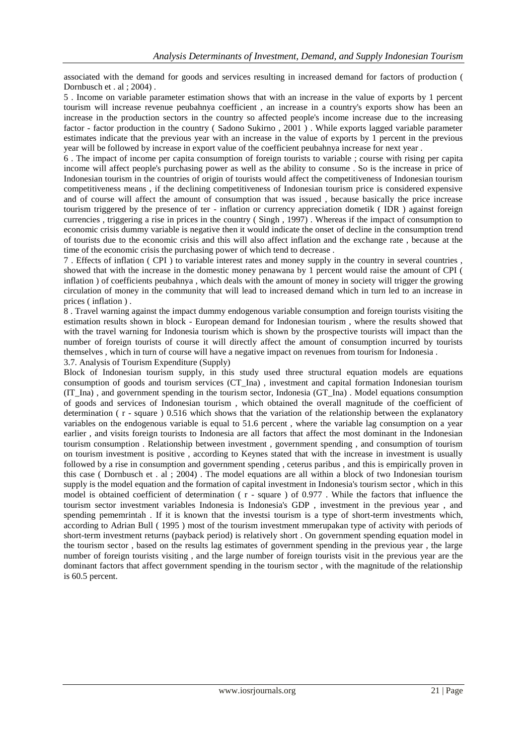associated with the demand for goods and services resulting in increased demand for factors of production ( Dornbusch et . al ; 2004) .

5 . Income on variable parameter estimation shows that with an increase in the value of exports by 1 percent tourism will increase revenue peubahnya coefficient , an increase in a country's exports show has been an increase in the production sectors in the country so affected people's income increase due to the increasing factor - factor production in the country ( Sadono Sukirno , 2001 ) . While exports lagged variable parameter estimates indicate that the previous year with an increase in the value of exports by 1 percent in the previous year will be followed by increase in export value of the coefficient peubahnya increase for next year .

6 . The impact of income per capita consumption of foreign tourists to variable ; course with rising per capita income will affect people's purchasing power as well as the ability to consume . So is the increase in price of Indonesian tourism in the countries of origin of tourists would affect the competitiveness of Indonesian tourism competitiveness means , if the declining competitiveness of Indonesian tourism price is considered expensive and of course will affect the amount of consumption that was issued , because basically the price increase tourism triggered by the presence of ter - inflation or currency appreciation dometik ( IDR ) against foreign currencies , triggering a rise in prices in the country ( Singh , 1997) . Whereas if the impact of consumption to economic crisis dummy variable is negative then it would indicate the onset of decline in the consumption trend of tourists due to the economic crisis and this will also affect inflation and the exchange rate , because at the time of the economic crisis the purchasing power of which tend to decrease .

7 . Effects of inflation ( CPI ) to variable interest rates and money supply in the country in several countries , showed that with the increase in the domestic money penawana by 1 percent would raise the amount of CPI ( inflation ) of coefficients peubahnya , which deals with the amount of money in society will trigger the growing circulation of money in the community that will lead to increased demand which in turn led to an increase in prices ( inflation ) .

8 . Travel warning against the impact dummy endogenous variable consumption and foreign tourists visiting the estimation results shown in block - European demand for Indonesian tourism , where the results showed that with the travel warning for Indonesia tourism which is shown by the prospective tourists will impact than the number of foreign tourists of course it will directly affect the amount of consumption incurred by tourists themselves , which in turn of course will have a negative impact on revenues from tourism for Indonesia .

3.7. Analysis of Tourism Expenditure (Supply)

Block of Indonesian tourism supply, in this study used three structural equation models are equations consumption of goods and tourism services (CT\_Ina) , investment and capital formation Indonesian tourism (IT\_Ina) , and government spending in the tourism sector, Indonesia (GT\_Ina) . Model equations consumption of goods and services of Indonesian tourism , which obtained the overall magnitude of the coefficient of determination ( r - square ) 0.516 which shows that the variation of the relationship between the explanatory variables on the endogenous variable is equal to 51.6 percent , where the variable lag consumption on a year earlier , and visits foreign tourists to Indonesia are all factors that affect the most dominant in the Indonesian tourism consumption . Relationship between investment , government spending , and consumption of tourism on tourism investment is positive , according to Keynes stated that with the increase in investment is usually followed by a rise in consumption and government spending , ceterus paribus , and this is empirically proven in this case ( Dornbusch et . al ; 2004) . The model equations are all within a block of two Indonesian tourism supply is the model equation and the formation of capital investment in Indonesia's tourism sector , which in this model is obtained coefficient of determination ( r - square ) of 0.977 . While the factors that influence the tourism sector investment variables Indonesia is Indonesia's GDP , investment in the previous year , and spending pememrintah . If it is known that the investsi tourism is a type of short-term investments which, according to Adrian Bull ( 1995 ) most of the tourism investment mmerupakan type of activity with periods of short-term investment returns (payback period) is relatively short . On government spending equation model in the tourism sector , based on the results lag estimates of government spending in the previous year , the large number of foreign tourists visiting , and the large number of foreign tourists visit in the previous year are the dominant factors that affect government spending in the tourism sector , with the magnitude of the relationship is 60.5 percent.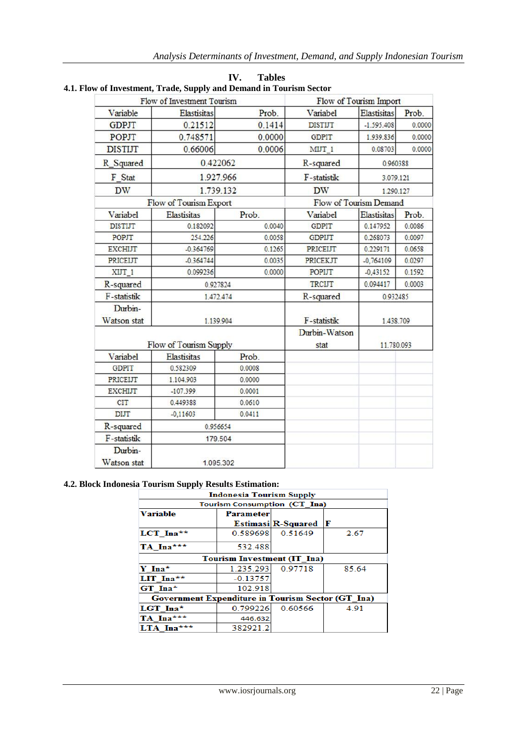|                        | Flow of Investment Tourism | Flow of Tourism Import |                        |                    |        |  |
|------------------------|----------------------------|------------------------|------------------------|--------------------|--------|--|
| Variable               | Elastisitas                | Prob.                  | Variabel               | Elastisitas        | Prob.  |  |
| <b>GDPJT</b>           | 0.21512                    | 0.1414                 | <b>DISTIJT</b>         | $-1.595.408$       | 0.0000 |  |
| POPJT                  | 0.748571                   | 0.0000                 | <b>GDPIT</b>           | 1.939.836          | 0.0000 |  |
| <b>DISTIJT</b>         | 0.66006                    | 0.0006                 | MIJT 1                 | 0.08703            | 0.0000 |  |
| R Squared              | 0.422062                   |                        | R-squared              | 0.960388           |        |  |
| F Stat                 | 1.927.966                  |                        | F-statistik            | 3.079.121          |        |  |
| <b>DW</b>              | 1.739.132                  |                        | <b>DW</b>              | 1.290.127          |        |  |
|                        | Flow of Tourism Export     |                        | Flow of Tourism Demand |                    |        |  |
| Variabel               | <b>Elastisitas</b>         | Prob.                  | Variabel               | Elastisitas        | Prob.  |  |
| <b>DISTIJT</b>         | 0.182092                   | 0.0040                 | <b>GDPIT</b>           | 0.147952           | 0.0086 |  |
| <b>POPJT</b>           | 254.226                    | 0.0058                 | <b>GDPIJT</b>          | 0.268073           | 0.0097 |  |
| <b>EXCHIJT</b>         | $-0.364769$                | 0.1265                 | PRICEIJT               | 0.229171           | 0.0658 |  |
| <b>PRICEIJT</b>        | $-0.364744$                | 0.0035                 | PRICEKJT               | $-0,764109$        | 0.0297 |  |
| XIJT 1                 | 0.099236                   | 0.0000                 | POPIJT                 | $-0,43152$         | 0.1592 |  |
| R-squared              | 0.927824                   |                        | <b>TRCUT</b>           | 0.094417<br>0.0003 |        |  |
| F-statistik            | 1.472.474                  |                        | R-squared              | 0.932485           |        |  |
| Durbin-                |                            |                        |                        |                    |        |  |
| Watson stat            | 1.139.904                  |                        | F-statistik            | 1.438.709          |        |  |
| Flow of Tourism Supply |                            |                        | Durbin-Watson<br>stat  | 11.780.093         |        |  |
| Variabel               | <b>Elastisitas</b>         | Prob.                  |                        |                    |        |  |
| <b>GDPIT</b>           | 0.582309                   | 0.0008                 |                        |                    |        |  |
| PRICEIJT               | 1.104.903                  | 0.0000                 |                        |                    |        |  |
| <b>EXCHIJT</b>         | $-107.399$                 | 0.0001                 |                        |                    |        |  |
| <b>CIT</b>             | 0.449388                   | 0.0610                 |                        |                    |        |  |
| DIJT                   | $-0,11603$                 | 0.0411                 |                        |                    |        |  |
| R-squared              | 0.956654                   |                        |                        |                    |        |  |
| F-statistik            | 179.504                    |                        |                        |                    |        |  |
| Durbin-<br>Watson stat | 1.095.302                  |                        |                        |                    |        |  |

**IV. Tables 4.1. Flow of Investment, Trade, Supply and Demand in Tourism Sector** 

## **4.2. Block Indonesia Tourism Supply Results Estimation:**

| <b>Indonesia Tourism Supply</b>                          |                                    |                           |       |  |  |  |  |  |
|----------------------------------------------------------|------------------------------------|---------------------------|-------|--|--|--|--|--|
| <b>Tourism Consumption (CT Ina)</b>                      |                                    |                           |       |  |  |  |  |  |
| <b>Variable</b>                                          | Parameter                          |                           |       |  |  |  |  |  |
|                                                          |                                    | <b>Estimasi R-Squared</b> | Æ     |  |  |  |  |  |
| LCT Ina**                                                | 0.589698                           | 0.51649                   | 2.67  |  |  |  |  |  |
| TA Ina***                                                | 532.488                            |                           |       |  |  |  |  |  |
|                                                          | <b>Tourism Investment (IT Ina)</b> |                           |       |  |  |  |  |  |
| $Y$ Ina <sup>*</sup>                                     | 1.235.293                          | 0.97718                   | 85.64 |  |  |  |  |  |
| LIT Ina**                                                | $-0.13757$                         |                           |       |  |  |  |  |  |
| $GT$ Ina*                                                | 102.918                            |                           |       |  |  |  |  |  |
| <b>Government Expenditure in Tourism Sector (GT Ina)</b> |                                    |                           |       |  |  |  |  |  |
| $LGT$ Ina*                                               | 0.799226                           | 0.60566                   | 4.91  |  |  |  |  |  |
| TA Ina***                                                | 446.632                            |                           |       |  |  |  |  |  |
| LTA Ina***                                               | 382921.2                           |                           |       |  |  |  |  |  |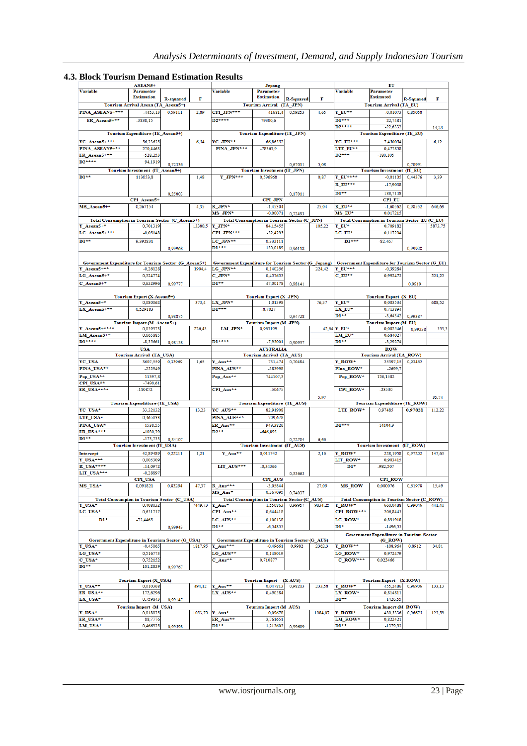|  |  | <b>4.3. Block Tourism Demand Estimation Results</b> |  |
|--|--|-----------------------------------------------------|--|
|  |  |                                                     |  |

| ASEAN5+                                                              |                                                  |           |         | <b>Jepang</b>                                                    |                                                                |                  | EU      |                                                               |                                                           |                  |         |
|----------------------------------------------------------------------|--------------------------------------------------|-----------|---------|------------------------------------------------------------------|----------------------------------------------------------------|------------------|---------|---------------------------------------------------------------|-----------------------------------------------------------|------------------|---------|
| <b>Variable</b>                                                      | <b>Parameter</b><br><b>Estimation</b>            |           |         | <b>Variable</b>                                                  | <b>Parameter</b><br><b>Estimation</b>                          |                  |         | <b>Variable</b>                                               | <b>Parameter</b><br><b>Estimated</b>                      |                  |         |
|                                                                      |                                                  | R-squared | F       |                                                                  | Tourism Arrival (TA_JPN)                                       | <b>R-Squared</b> | F       |                                                               | <b>Tourism Arrival (TA_EU)</b>                            | <b>R-Squared</b> | F       |
| PINA ASEAN5+***                                                      | Tourism Arrival Asean (TA_Asean5+)<br>$-4453,13$ | 0,59111   | 2,89    |                                                                  | 41681,4                                                        | 0,59253          | 4,65    | $Y$ EU**                                                      | $-0,01073$                                                | 0,85058          |         |
|                                                                      |                                                  |           |         | CPI_JPN***                                                       |                                                                |                  |         |                                                               |                                                           |                  |         |
| ER Asean5+**                                                         | $-3838,15$                                       |           |         | $D2***$                                                          | 79300.6                                                        |                  |         | $D1***$<br>$D2***$                                            | 22,7481                                                   |                  |         |
|                                                                      | Tourism Expenditure (TE Asean5+)                 |           |         |                                                                  | <b>Tourism Expenditure (TE JPN)</b>                            |                  |         |                                                               | $-22,6332$<br><b>Tourism Expenditure (TE EU)</b>          |                  | 14,23   |
|                                                                      |                                                  |           |         |                                                                  |                                                                |                  |         |                                                               |                                                           |                  |         |
| YC_Asean5+***                                                        | 56,23635                                         |           | 6.54    | YC JPN**                                                         | 66,86552                                                       |                  |         | YC EU***                                                      | 7,450054                                                  |                  | 6,12    |
| PINA ASEAN5+**<br>ER Asean5+**                                       | 270,4463<br>$-528.253$                           |           |         | PINA JPN***                                                      | $-78363,9$                                                     |                  |         | LTE EU**<br>$D2***$                                           | 0,477858<br>$-180, 105$                                   |                  |         |
| $D2***$                                                              | 94,1919                                          |           |         |                                                                  |                                                                |                  |         |                                                               |                                                           |                  |         |
|                                                                      |                                                  | 0.72336   |         |                                                                  |                                                                | 0,67011          | 5,08    |                                                               |                                                           | 0.70991          |         |
| $DI**$                                                               | Tourism Investment (IT Asean5+)                  |           |         | Y JPN***                                                         | <b>Tourism Investment (IT JPN)</b><br>0.596968                 |                  |         | $Y$ EU****                                                    | <b>Tourism Investment (IT EU)</b>                         | 0.44376          |         |
|                                                                      | 113053,8                                         |           | 1,48    |                                                                  |                                                                |                  | 0,87    |                                                               | $-0,01105$                                                |                  | 3,39    |
|                                                                      |                                                  |           |         |                                                                  |                                                                |                  |         | $R_EU^{\star\star\star}$                                      | $-17,9038$                                                |                  |         |
|                                                                      |                                                  | 0,25803   |         |                                                                  |                                                                | 0,17011          |         | $1+$                                                          | 188,7148                                                  |                  |         |
|                                                                      | CPI Asean5+                                      |           |         |                                                                  | CPI JPN                                                        |                  |         |                                                               | <b>CPI EU</b>                                             |                  |         |
| MS Asean5+*                                                          | 0,267154                                         |           | 4,35    | $R$ JPN*<br>MS JPN*                                              | $-1,45304$<br>$-0,00071$                                       |                  | 25,04   | $R$ $EU**$<br>MS EU*                                          | $-1,60562$<br>0,017215                                    | 0,98552          | 646,69  |
|                                                                      |                                                  |           |         |                                                                  |                                                                | 0,72493          |         |                                                               |                                                           |                  |         |
| Total Consumption in Tourism Sector (C_Asean5+)<br>Y_Asean5+*        | 0,701319                                         |           | 13380.5 | $Y$ JPN*                                                         | <b>Total Consumption in Tourism Sector (C_JPN)</b><br>84,15455 |                  | 105,22  | Y EU*                                                         | Total Consumption in Tourism Sector EU (C_EU)<br>0,709182 |                  | 5873,75 |
| LC_Asean5+***                                                        | $-0,05148$                                       |           |         | CPI JPN***                                                       | $-32,4295$                                                     |                  |         | LC EU*                                                        | 0,117204                                                  |                  |         |
| $DI**$                                                               |                                                  |           |         |                                                                  |                                                                |                  |         | $DI***$                                                       |                                                           |                  |         |
|                                                                      | 9,392831                                         |           |         | LC JPN**<br>$1***$                                               | 0,332111<br>130,0189                                           |                  |         |                                                               | $-82,467$                                                 |                  |         |
|                                                                      |                                                  | 0.99968   |         |                                                                  |                                                                | 0.96118          |         |                                                               |                                                           | 0,99928          |         |
|                                                                      |                                                  |           |         |                                                                  |                                                                |                  |         |                                                               |                                                           |                  |         |
| Government Expenditure for Tourism Sector (G_Asean5+)<br>Y Asean5+** | $-0,26128$                                       |           | 1904,4  | Government Expenditure for Tourism Sector (G_Jepang)<br>LG JPN** | 0,140256                                                       |                  | 224,42  | Government Expenditure for Tourism Sector (G_EU)<br>$Y$ EU*** | $-0,39284$                                                |                  |         |
| LG Asean5+*                                                          | 0.324774                                         |           |         | $C$ JPN*                                                         | 0,457655                                                       |                  |         | $C$ $EU**$                                                    | 0,992473                                                  |                  | 521,25  |
|                                                                      |                                                  |           |         | $DI**$                                                           |                                                                |                  |         |                                                               |                                                           |                  |         |
| $C$ Asean5+*                                                         | 0,632996                                         | 0.99777   |         |                                                                  | 47,00178                                                       | 0.98141          |         |                                                               |                                                           | 0.9919           |         |
|                                                                      | Tourism Export (X-Asean5+)                       |           |         |                                                                  | <b>Tourism Export (X_JPN)</b>                                  |                  |         |                                                               | Tourism Export (X_EU)                                     |                  |         |
| Y Asean5+ $*$                                                        | 0,080062                                         |           | 373,4   | LX JPN*                                                          | 1,01398                                                        |                  | 76,37   | $Y$ EU*                                                       | 0,003534                                                  |                  | 688,52  |
| LX Asean5+**                                                         | 0.529183                                         |           |         | $DI***$                                                          | $-8.7027$                                                      |                  |         | LX_EU*                                                        | 0,713894                                                  |                  |         |
|                                                                      |                                                  | 0,98875   |         |                                                                  |                                                                | 0,94728          |         | $DI**$                                                        | $-3,64342$                                                | 0,99387          |         |
|                                                                      | Tourism Import (M_Asean5+)                       |           |         |                                                                  | <b>Tourism Import (M_JPN)</b>                                  |                  |         |                                                               | <b>Tourism Import (M EU)</b>                              |                  |         |
| Y Asean5+****                                                        | 0,059373                                         |           | 226,43  | LM JPN*                                                          | 0,963199                                                       |                  |         | 42,64 Y EU*                                                   | 0,002546                                                  | 0,99238          | 553,3   |
| LM Asean5+*                                                          | 0.665885                                         |           |         |                                                                  |                                                                |                  |         | LM EU*                                                        | 0,684027                                                  |                  |         |
| $D1***$                                                              | $-8,35661$                                       | 0,98158   |         | $D1***$                                                          | $-7,95001$                                                     | 0.90937          |         | $DI**$                                                        | $-3,29274$                                                |                  |         |
|                                                                      | <b>USA</b>                                       |           |         |                                                                  | <b>AUSTRALIA</b>                                               |                  |         |                                                               | <b>ROW</b>                                                |                  |         |
|                                                                      | <b>Tourism Arrival (TA USA)</b>                  |           |         |                                                                  | <b>Tourism Arrival (TA AUS)</b>                                |                  |         |                                                               | <b>Tourism Arrival (TA ROW)</b>                           |                  |         |
| YC USA                                                               | 3607,559                                         | 0,33969   | 1,65    | Y Aus**                                                          | 731,474                                                        | 0.70484          |         | Y ROW*                                                        | 25397,15                                                  | 0,93462          |         |
| PINA USA**                                                           | $-252949$                                        |           |         | PINA AUS**                                                       | -385998                                                        |                  |         | PIna ROW*                                                     | $-2699.7$                                                 |                  |         |
| Pop USA**                                                            | 11397,8                                          |           |         | Pop_Aus**                                                        | 744107,3                                                       |                  |         | Pop_ROW*                                                      | 126,1582                                                  |                  |         |
| CPI USA**                                                            | $-7490.61$                                       |           |         |                                                                  |                                                                |                  |         |                                                               |                                                           |                  |         |
| ER USA****                                                           | $-119872$                                        |           |         | CPI Aus**                                                        | $-50675$                                                       |                  |         | CPI ROW*                                                      | -23530                                                    |                  |         |
|                                                                      |                                                  |           |         |                                                                  |                                                                |                  | 5,97    |                                                               |                                                           |                  | 35,74   |
|                                                                      | <b>Tourism Expenditture (TE USA)</b><br>33,32132 |           | 13,23   |                                                                  | <b>Tourism Expenditure (TE AUS)</b><br>82,91908                |                  |         |                                                               | <b>Tourism Expendditure (TE ROW)</b><br>0,97485           | 0,97821          | 112,22  |
| YC_USA*                                                              |                                                  |           |         | YC AUS**                                                         |                                                                |                  |         | LTE ROW*                                                      |                                                           |                  |         |
| LTE USA*                                                             | 0,465033                                         |           |         | PINA AUS***                                                      | $-709,678$                                                     |                  |         |                                                               |                                                           |                  |         |
| PINA_USA*                                                            | $-1538,55$                                       |           |         | ER Aus**                                                         | 949,3826                                                       |                  |         | $DI***$                                                       | $-14104,9$                                                |                  |         |
| ER USA***<br>$DI**$                                                  | $-1030,29$                                       |           |         | $D2***$                                                          | $-646,895$                                                     |                  |         |                                                               |                                                           |                  |         |
|                                                                      | $-173,733$                                       | 0.84107   |         |                                                                  | <b>Tourism Investment (IT AUS)</b>                             | 0,72704          | 6,66    |                                                               | <b>Tourism Investment (IT ROW)</b>                        |                  |         |
|                                                                      | <b>Tourism Investment (IT USA)</b>               |           |         |                                                                  |                                                                |                  |         |                                                               |                                                           |                  |         |
| <b>Intercept</b><br>Y USA***                                         | 42,89489<br>0,005309                             | 0,22211   | 1,21    | Y_Aus**                                                          | 0,011742                                                       |                  | 2,16    | Y ROW*<br>LIT ROW*                                            | 228,1958<br>0,903415                                      | 0,97202          | 147,63  |
| R USA****                                                            | $-14,0972$                                       |           |         | LIT_AUS***                                                       | $-0,34366$                                                     |                  |         | $D1*$                                                         | $-982,507$                                                |                  |         |
| LIT USA***                                                           | $-0.28897$                                       |           |         |                                                                  |                                                                | 0.33663          |         |                                                               |                                                           |                  |         |
|                                                                      | <b>CPI USA</b>                                   |           |         |                                                                  | <b>CPI_AUS</b>                                                 |                  |         |                                                               | <b>CPI ROW</b>                                            |                  |         |
| MS_USA*                                                              | 0,091821                                         | 0,83294   | 47,37   | R Aus***                                                         | $-3,05844$                                                     |                  | 27,09   | <b>MS ROW</b>                                                 | 0,000076                                                  | 0,61978          | 15,49   |
|                                                                      |                                                  |           |         | MS Aus*                                                          | 0,367095                                                       | 0,74037          |         |                                                               |                                                           |                  |         |
| <b>Total Consumpion in Tourism Sector (C_USA)</b>                    |                                                  |           |         |                                                                  | <b>Total Consumption in Tourism Sector (C_AUS)</b>             |                  |         |                                                               | <b>Total Consumption in Tourism Sector (C_ROW)</b>        |                  |         |
| Y USA*                                                               | 0,408032                                         |           | 7449,73 | Y Aus*                                                           | 1,550863                                                       | 0.99957          | 9834,25 | Y ROW*                                                        | 660,0488                                                  | 0,99046          | 441,41  |
| LC USA*                                                              | 0,651717                                         |           |         | CPI Aus**                                                        | 0,644418                                                       |                  |         | CPI ROW***                                                    | 206,8445                                                  |                  |         |
| $\mathbf{D1}^*$                                                      | $-73,4465$                                       |           |         | LC_AUS**                                                         | 0,100138                                                       |                  |         | LC ROW*                                                       | 0,891918                                                  |                  |         |
|                                                                      |                                                  | 0,99943   |         | $\mathbf{D1}^{\star\star}$                                       | $-6.54855$                                                     |                  |         | $D1*$                                                         | $-1496,55$                                                |                  |         |
|                                                                      |                                                  |           |         |                                                                  |                                                                |                  |         |                                                               | <b>Government Expenditure in Tourism Sector</b>           |                  |         |
| <b>Government Expenditure in Tourism Sector (G_USA)</b>              |                                                  |           |         | <b>Government Expenditure in Tourism Sector (G AUS)</b>          |                                                                |                  |         |                                                               | $(G_ROW)$                                                 |                  |         |
| Y USA*                                                               | $-0,45065$                                       |           | 1817,95 | Y Aus***                                                         | $-0,49661$                                                     | 0,9982           | 2362,3  | Y ROW**                                                       | $-108,964$                                                | 0,8912           | 34,81   |
| LG_USA*                                                              | 0.516773                                         |           |         | LG AUS**                                                         | 0.148019                                                       |                  |         | LG ROW*                                                       | 0.972479                                                  |                  |         |
| $C$ USA*                                                             | 0,752152                                         |           |         | $C$ Aus**                                                        | 0,710877                                                       |                  |         | $C$ ROW***                                                    | 0,023466                                                  |                  |         |
| $DI**$                                                               | 101,2839                                         | 0,99767   |         |                                                                  |                                                                |                  |         |                                                               |                                                           |                  |         |
|                                                                      |                                                  |           |         |                                                                  |                                                                |                  |         |                                                               |                                                           |                  |         |
| Y USA**                                                              | Tourism Export (X_USA)<br>0,010368               |           | 494,12  | Y Aus**                                                          | <b>Tourism Export</b> (X-AUS)<br>0,047813                      | 0,98213          | 233,58  | Y ROW*                                                        | Tourism Export (X-ROW)<br>455,2486                        | 0,96906          | 133,13  |
| ER USA**                                                             | 172,6296                                         |           |         | $LX$ $AUS**$                                                     | 0,490584                                                       |                  |         | LX ROW*                                                       | 0,814811                                                  |                  |         |
| LX_USA*                                                              | 0,759843                                         | 0.99147   |         |                                                                  |                                                                |                  |         | $D1***$                                                       | $-1426,55$                                                |                  |         |
|                                                                      | Tourism Import (M_USA)                           |           |         |                                                                  | <b>Tourism Import (M_AUS)</b>                                  |                  |         |                                                               | <b>Tourism Import (M_ROW)</b>                             |                  |         |
| Y USA*                                                               | 0,018025                                         |           | 1053,79 | Y Aus*                                                           | 0,09678                                                        |                  | 1084,07 | Y ROW*                                                        | 430,5336                                                  | 0,96675          | 123,59  |
| ER_USA**                                                             | 88,7776                                          |           |         | ER Aus**                                                         | 3,761651                                                       |                  |         | LM ROW*                                                       | 0,822421                                                  |                  |         |
| LM_USA*                                                              | 0,466925                                         | 0,99598   |         | $D1***$                                                          | 1,213603                                                       | 0,99609          |         | $D1***$                                                       | $-1379,93$                                                |                  |         |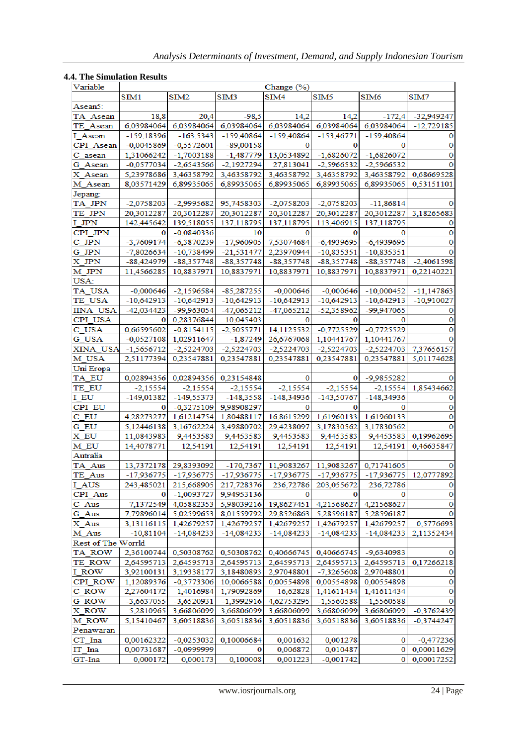# **4.4. The Simulation Results**

| Variable           | Change (%)             |                          |               |                      |                         |              |                            |  |
|--------------------|------------------------|--------------------------|---------------|----------------------|-------------------------|--------------|----------------------------|--|
|                    | SIM1                   | SIM <sub>2</sub>         | SIM3          | SIM <sub>4</sub>     | SIM5                    | SIM6         | SIM7                       |  |
| Asean5:            |                        |                          |               |                      |                         |              |                            |  |
| TA Asean           | 18,8                   | 20,4                     | $-98.5$       | 14,2                 | 14,2                    | $-172.4$     | $-32,949247$               |  |
| TE Asean           | 6,03984064             | 6,03984064               | 6,03984064    | 6,03984064           | 6,03984064              | 6,03984064   | $-12,729185$               |  |
| I Asean            | $-159,18396$           | $-163,5343$              | $-159,40864$  | -159,40864           | $-153,46771$            | -159,40864   | 0                          |  |
| CPI Asean          | $-0,0045869$           | $-0,5572601$             | $-89,00158$   | O                    | O                       |              | $\mathbf 0$                |  |
| C asean            | 1,31066242             | $-1,7003188$             | $-1,487779$   | 13,0534892           | $-1,6826072$            | $-1,6826072$ | 0                          |  |
| G Asean            | $-0,0577034$           | $-2,6543566$             | $-2,1927294$  | 27,813041            | $-2,5966532$            | $-2,5966532$ | 0                          |  |
| X Asean            | 5,23978686             | 3,46358792               | 3,46358792    | 3,46358792           | 3,46358792              |              | 3,46358792 0,68669528      |  |
| M Asean            |                        |                          |               |                      | 6,89935065              |              |                            |  |
|                    | 8,03571429             | 6,89935065               | 6,89935065    | 6,89935065           |                         | 6,89935065   | 0,53151101                 |  |
| Jepang:            |                        |                          |               |                      |                         |              |                            |  |
| TA JPN             | $-2,0758203$           | $-2,9995682$             | 95,7458303    | $-2,0758203$         | $-2,0758203$            | $-11,86814$  |                            |  |
| TE JPN             | 20,3012287             | 20,3012287               | 20,3012287    | 20,3012287           | 20,3012287              | 20,3012287   | 3,18265683                 |  |
| I JPN              | 142,445642             | 139,518055               | 137,118795    | 137,118795           | 113,406915              | 137,118795   | 0                          |  |
| CPI JPN            | 0                      | $-0,0840336$             | 10            | 0                    | 0                       | 0            | 0                          |  |
| C JPN              | $-3,7609174$           | $-6,3870239$             | $-17,960905$  | 7,53074684           | $-6,4939695$            | $-6,4939695$ | 0                          |  |
| $G$ _JPN           | $-7,8026634$           | -10,738499               | $-21,531477$  | 2,23970944           | $-10,835351$            | $-10,835351$ | 0                          |  |
| X JPN              | $-88,424979$           | $-88,357748$             | $-88,357748$  | $-88,357748$         | -88,357748              | $-88,357748$ | $-2,4061598$               |  |
| M JPN              | 11,4566285             | 10,8837971               | 10,8837971    | 10,8837971           | 10,8837971              | 10,8837971   | 0.22140221                 |  |
| USA:               |                        |                          |               |                      |                         |              |                            |  |
| TA_USA             | $-0,000646$            | $-2,1596584$             | $-85,287255$  | $-0,000646$          | $-0,000646$             | $-10,000452$ | -11,147863                 |  |
| TE USA             | $-10,642913$           | $-10,642913$             | $-10,642913$  | $-10,642913$         | -10,642913              | $-10,642913$ | $-10,910027$               |  |
| <b>IINA USA</b>    | $-42,034423$           | -99,963054               | -47,065212    | $-47,065212$         | $-52,358962$            | -99,947065   | 0                          |  |
| CPI USA            | 0                      | 0,28376844               | 10,045403     |                      | n                       |              | 0                          |  |
| C USA              | 0,66595602             | $-0,8154115$             | $-2,5055771$  | 14,1125532           | $-0,7725529$            | $-0,7725529$ | 0                          |  |
| G USA              | $-0,0527108$           | 1,02911647               | $-1,87249$    | 26,6767068           | 1,10441767              | 1,10441767   | 0                          |  |
| XINA USA           | $-1,5656712$           | $-2,5224703$             | $-2,5224703$  | $-2,5224703$         | $-2,5224703$            | $-2,5224703$ | 7,37656157                 |  |
| M USA              | 2,51177394             | 0,23547881               | 0,23547881    | 0,23547881           | 0,23547881              | 0,23547881   | 5,01174628                 |  |
| Uni Eropa          |                        |                          |               |                      |                         |              |                            |  |
| TA_EU              | 0,02894356             | 0,02894356               | 0,23154848    | 0                    | 0                       | -9,9855282   |                            |  |
|                    | $-2,15554$             | $-2,15554$               | $-2,15554$    | $-2,15554$           | $-2,15554$              | $-2,15554$   | 1,85434662                 |  |
| TE EU              |                        |                          |               |                      |                         |              | 0                          |  |
| I EU               | $-149,01382$           | $-149,55373$             | $-148,3558$   | $-148,34936$         | $-143,50767$            | $-148,34936$ |                            |  |
| CPI EU             | 0                      | $-0,3275109$             | 9,98908297    |                      | 0                       |              | 0<br>0                     |  |
| C EU               | 4,28273277             | 1,61214754               | 1,80488117    | 16,8615299           | 1,61960133              | 1,61960133   |                            |  |
| G EU               |                        |                          |               |                      |                         |              |                            |  |
|                    | 5,12446138             | 3,16762224               | 3,49880702    | 29,4238097           | 3,17830562              | 3,17830562   |                            |  |
| X EU               | 11,0843983             | 9,4453583                | 9,4453583     | 9,4453583            | 9,4453583               | 9,4453583    | 0,19962695                 |  |
| M EU               | 14,4078771             | 12,54191                 | 12,54191      | 12,54191             | 12,54191                | 12,54191     | 0,46635847                 |  |
| Autralia           |                        |                          |               |                      |                         |              |                            |  |
| TA_Aus             | 13,7372178             | 29,8393092               | $-170,7367$   | 11,9083267           | 11,9083267              | 0,71741605   | 0                          |  |
| TE_Aus             | $-17,936775$           | $-17,936775$             | $-17,936775$  | $-17,936775$         | $-17,936775$            | $-17,936775$ | 12,0777892                 |  |
| I AUS              | 243,485021             | 215,668905               | 217,728376    | 236,72786            | 203,055672              | 236,72786    | 0                          |  |
| CPI_Aus            |                        | $-1,0093727$             | 9,94953136    | 0                    | 0                       |              |                            |  |
| $C_{\_Aus}$        | 7,1372549              | 4,05882353               | 5,98039216    | 19,8627451           | 4,21568627              | 4,21568627   | $\bf{0}$                   |  |
| G_Aus              | 7,79896014             | 5,02599653               | 8,01559792    | 29,8526863           | 5,28596187              | 5,28596187   | 0                          |  |
| X_Aus              | 3,13116115             | 1,42679257               | 1,42679257    | 1,42679257           | 1,42679257              | 1,42679257   | 0,5776693                  |  |
|                    | $-10,81104$            | $-14,084233$             | $-14,084233$  | $-14,084233$         | $-14,084233$            | $-14,084233$ | $\pmb{0}$                  |  |
| M_Aus              |                        |                          |               |                      |                         |              | 2,11352434                 |  |
| Rest of The Worrld |                        |                          |               |                      | 0,40666745              |              | 0                          |  |
| TA_ROW             | 2,36100744             | 0,50308762               | 0,50308762    | 0,40666745           |                         | -9,6340983   |                            |  |
| TE ROW             | 2,64595713             | 2,64595713               | 2,64595713    | 2,64595713           | 2,64595713              |              | 2,64595713 0,17266218      |  |
| I_ROW              | 3,92100131             | 3,19338177               | 3,18480893    | 2,97048801           | $-7,3265608$            | 2,97048801   | 0                          |  |
| CPI_ROW            | 1,12089376             | $-0,3773306$             | 10,0066588    | 0,00554898           | 0,00554898              | 0,00554898   | 0                          |  |
| $C_ROW$            | 2,27604172             | 1,4016984                | 1,79092869    | 16,62828             | 1,41611434              | 1,41611434   | 0                          |  |
| G_ROW              | -3,6637055             | $-3,6520931$             | $-1,3992916$  | 4,62753295           | -1,5560588              | $-1,5560588$ | 0                          |  |
| X ROW              | 5,2810965              | 3,66806099               | 3,66806099    | 3,66806099           | 3,66806099              | 3,66806099   | $-0,3762439$               |  |
| M ROW              | 5,15410467             | 3,60518836               | 3,60518836    | 3,60518836           | 3,60518836              | 3,60518836   | $-0,3744247$               |  |
| Penawaran          |                        |                          |               |                      |                         |              |                            |  |
| $CT_$ Ina          | 0,00162322             | $-0,0253032$             | 0,10006684    | 0,001632             | 0,001278                | 0            | $-0,477236$                |  |
| IT Ina<br>GT-Ina   | 0,00731687<br>0,000172 | $-0,0999999$<br>0,000173 | 0<br>0,100008 | 0,006872<br>0,001223 | 0,010487<br>$-0,001742$ | $\mathbf{0}$ | 0 0,00011629<br>0,00017252 |  |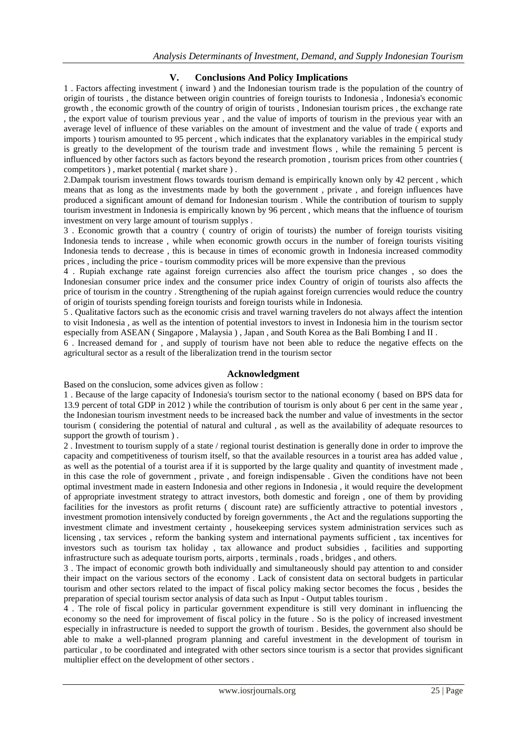## **V. Conclusions And Policy Implications**

1 . Factors affecting investment ( inward ) and the Indonesian tourism trade is the population of the country of origin of tourists , the distance between origin countries of foreign tourists to Indonesia , Indonesia's economic growth , the economic growth of the country of origin of tourists , Indonesian tourism prices , the exchange rate , the export value of tourism previous year , and the value of imports of tourism in the previous year with an average level of influence of these variables on the amount of investment and the value of trade ( exports and imports ) tourism amounted to 95 percent , which indicates that the explanatory variables in the empirical study is greatly to the development of the tourism trade and investment flows , while the remaining 5 percent is influenced by other factors such as factors beyond the research promotion , tourism prices from other countries ( competitors ) , market potential ( market share ) .

2.Dampak tourism investment flows towards tourism demand is empirically known only by 42 percent , which means that as long as the investments made by both the government , private , and foreign influences have produced a significant amount of demand for Indonesian tourism . While the contribution of tourism to supply tourism investment in Indonesia is empirically known by 96 percent , which means that the influence of tourism investment on very large amount of tourism supplys .

3 . Economic growth that a country ( country of origin of tourists) the number of foreign tourists visiting Indonesia tends to increase , while when economic growth occurs in the number of foreign tourists visiting Indonesia tends to decrease , this is because in times of economic growth in Indonesia increased commodity prices , including the price - tourism commodity prices will be more expensive than the previous

4 . Rupiah exchange rate against foreign currencies also affect the tourism price changes , so does the Indonesian consumer price index and the consumer price index Country of origin of tourists also affects the price of tourism in the country . Strengthening of the rupiah against foreign currencies would reduce the country of origin of tourists spending foreign tourists and foreign tourists while in Indonesia.

5 . Qualitative factors such as the economic crisis and travel warning travelers do not always affect the intention to visit Indonesia , as well as the intention of potential investors to invest in Indonesia him in the tourism sector especially from ASEAN ( Singapore , Malaysia ) , Japan , and South Korea as the Bali Bombing I and II .

6 . Increased demand for , and supply of tourism have not been able to reduce the negative effects on the agricultural sector as a result of the liberalization trend in the tourism sector

## **Acknowledgment**

Based on the conslucion, some advices given as follow :

1 . Because of the large capacity of Indonesia's tourism sector to the national economy ( based on BPS data for 13.9 percent of total GDP in 2012 ) while the contribution of tourism is only about 6 per cent in the same year , the Indonesian tourism investment needs to be increased back the number and value of investments in the sector tourism ( considering the potential of natural and cultural , as well as the availability of adequate resources to support the growth of tourism ) .

2 . Investment to tourism supply of a state / regional tourist destination is generally done in order to improve the capacity and competitiveness of tourism itself, so that the available resources in a tourist area has added value , as well as the potential of a tourist area if it is supported by the large quality and quantity of investment made , in this case the role of government , private , and foreign indispensable . Given the conditions have not been optimal investment made in eastern Indonesia and other regions in Indonesia , it would require the development of appropriate investment strategy to attract investors, both domestic and foreign , one of them by providing facilities for the investors as profit returns ( discount rate) are sufficiently attractive to potential investors , investment promotion intensively conducted by foreign governments , the Act and the regulations supporting the investment climate and investment certainty , housekeeping services system administration services such as licensing , tax services , reform the banking system and international payments sufficient , tax incentives for investors such as tourism tax holiday , tax allowance and product subsidies , facilities and supporting infrastructure such as adequate tourism ports, airports , terminals , roads , bridges , and others.

3 . The impact of economic growth both individually and simultaneously should pay attention to and consider their impact on the various sectors of the economy . Lack of consistent data on sectoral budgets in particular tourism and other sectors related to the impact of fiscal policy making sector becomes the focus , besides the preparation of special tourism sector analysis of data such as Input - Output tables tourism .

4 . The role of fiscal policy in particular government expenditure is still very dominant in influencing the economy so the need for improvement of fiscal policy in the future . So is the policy of increased investment especially in infrastructure is needed to support the growth of tourism . Besides, the government also should be able to make a well-planned program planning and careful investment in the development of tourism in particular , to be coordinated and integrated with other sectors since tourism is a sector that provides significant multiplier effect on the development of other sectors .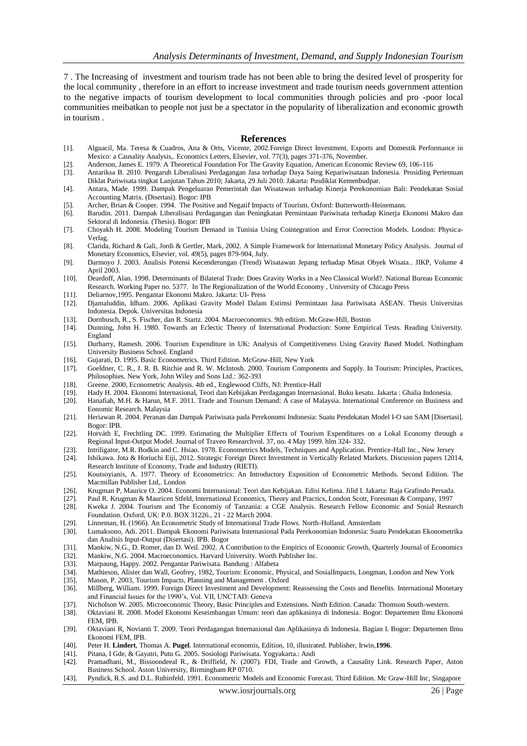7 . The Increasing of investment and tourism trade has not been able to bring the desired level of prosperity for the local community , therefore in an effort to increase investment and trade tourism needs government attention to the negative impacts of tourism development to local communities through policies and pro -poor local communities meibatkan to people not just be a spectator in the popularity of liberalization and economic growth in tourism .

#### **References**

- [1]. Alguacil, Ma. Teresa & Cuadros, Ana & Orts, Vicente, 2002[.Foreign Direct Investment, Exports and Domestik Performance in](http://ideas.repec.org/a/eee/ecolet/v77y2002i3p371-376.html)  [Mexico: a Causality Analysis,.](http://ideas.repec.org/a/eee/ecolet/v77y2002i3p371-376.html) [Economics Letters,](http://ideas.repec.org/s/eee/ecolet.html) Elsevier, vol. 77(3), pages 371-376, November.
- [2]. Anderson, James E. 1979. A Theoretical Foundation For The Gravity Equation, American Economic Review 69, 106-116<br>[3]. Antariksa B. 2010. Pengaruh Liberalisasi Perdagangan Jasa terhadap Daya Saing Kepariwisataan Indone
- [3]. Antariksa B. 2010. Pengaruh Liberalisasi Perdagangan Jasa terhadap Daya Saing Kepariwisataan Indonesia. Prosiding Pertemuan Diklat Pariwisata tingkat Lanjutan Tahun 2010; Jakarta, 29 Juli 2010. Jakarta: Pusdiklat Kemenbudpar.
- [4]. Antara, Made. 1999. Dampak Pengeluaran Pemerintah dan Wisatawan terhadap Kinerja Perekonomian Bali: Pendekatan Sosial Accounting Matrix. (Disertasi). Bogor: IPB
- [5]. Archer, Brian & Cooper. 1994. The Positive and Negatif Impacts of Tourism. Oxford: Butterworth-Heinemann.
- [6]. Barudin. 2011. Dampak Liberalisasi Perdagangan dan Peningkatan Permintaan Pariwisata terhadap Kinerja Ekonomi Makro dan Sektoral di Indonesia. (Thesis). Bogor: IPB
- [7]. Choyakh H. 2008. Modeling Tourism Demand in Tunisia Using Cointegration and Error Correction Models. London: Physica-Verlag.
- [8]. Clarida, Richard & Gali, Jordi & Gertler, Mark, 2002. [A Simple Framework for International Monetary Policy Analysis.](http://ideas.repec.org/a/eee/moneco/v49y2002i5p879-904.html) [Journal of](http://ideas.repec.org/s/eee/moneco.html)  [Monetary Economics,](http://ideas.repec.org/s/eee/moneco.html) Elsevier, vol. 49(5), pages 879-904, July.
- [9]. Darmoyo J. 2003. Analisis Potensi Kecenderungan (Trend) Wisatawan Jepang terhadap Minat Obyek Wisata.. JIKP, Volume 4 April 2003.
- [10]. Deardoff, Alan. 1998. Determinants of Bilateral Trade: Does Gravity Works in a Neo Classical World?. National Bureau Economic Research. Working Paper no. 5377. In [The Regionalization of the World Economy](http://www.nber.org/books/fran98-1) , University of Chicago Press
- [11]. Deliarnov,1995. Pengantar Ekonomi Makro. Jakarta: UI- Press
- [12]. Djamaluddin, Idham. 2006. Aplikasi Gravity Model Dalam Estimsi Permintaan Jasa Pariwisata ASEAN. Thesis Universitas Indonesia. Depok. Universitas Indonesia
- [13]. Dornbusch, R., S. Fischer, dan R. Startz. 2004. Macroeconomics. 9th edition. McGraw-Hill, Boston
- [14]. Dunning, John H. 1980. Towards an Eclectic Theory of International Production: Some Empirical Tests. Reading University. England
- [15]. Durbarry, Ramesh. 2006. Tourism Expenditure in UK: Analysis of Competitiveness Using Gravity Based Model. Nothingham University Business School. England
- [16]. Gujarati, D. 1995. Basic Econometrics. Third Edition. McGraw-Hill, New York
- [17]. Goeldner, C. R., J. R. B. Ritchie and R. W. McIntosh. 2000. Tourism Components and Supply. In Tourism: Principles, Practices, Philosophies. New York, John Wiley and Sons Ltd.: 362-393
- [18]. Greene. 2000, Econometric Analysis. 4th ed., Englewood Cliffs, NJ: Prentice-Hall
- 
- [19]. Hady H. 2004. Ekonomi Internasional, Teori dan Kebijakan Perdagangan Internasional. Buku kesatu. Jakarta : Ghalia Indonesia. Hanafiah, M.H. & Harun, M.F. 2011. Trade and Tourism Demand: A case of Malaysia. International Conference on Business and Eonomic Research. Malaysia
- [21]. Heriawan R. 2004. Peranan dan Dampak Pariwisata pada Perekonomi Indonesia: Suatu Pendekatan Model I-O san SAM [Disertasi]. Bogor: IPB.
- [22]. Horváth E, Frechtling DC. 1999. Estimating the Multiplier Effects of Tourism Expenditures on a Lokal Economy through a Regional Input-Output Model. Journal of Traveo Researchvol. 37, no. 4 May 1999. hlm 324- 332.
- [23]. Intriligator, M.R. Bodkin and C. Hsiao. 1978. Econometrics Models, Techniques and Application. Prentice-Hall Inc., New Jersey
- [24]. Ishikawa. Jota & Horiuchi Eiji, 2012. [Strategic Foreign Direct Investment in Vertically Related Markets.](http://ideas.repec.org/p/eti/dpaper/12014.html) [Discussion papers](http://ideas.repec.org/s/eti/dpaper.html) 12014, Research Institute of Economy, Trade and Industry (RIETI).
- [25]. Koutsoyianis, A. 1977. Theory of Econometrics: An Introductory Exposition of Econometric Methods. Second Edition. The Macmillan Publisher Ltd,. London
- [26]. Krugman P, Maurice O. 2004. Economi Internasional: Teori dan Kebijakan. Edisi Kelima. Jilid I. Jakarta: Raja Grafindo Persada.
- [27]. Paul R. Krugman & Mauricen Stfeld, International Economics, Theory and Practics, London Scott, Foresman & Company, 1997
- [28]. Kweka J. 2004. Tourism and The Economiy of Tanzania: a CGE Analysis. Research Fellow Economic and Sosial Research Foundation. Oxford, UK: P.0. BOX 31226., 21 - 22 March 2004.
- [29]. Linneman, H. (1966). An Econometric Study of International Trade Flows. North-Holland. Amsterdam
- [30]. Lumaksono, Adi. 2011. Dampak Ekonomi Pariwisata Internasional Pada Perekonomian Indonesia: Suatu Pendekatan Ekonometrika dan Analisis Input-Output (Disertasi). IPB. Bogor
- [31]. Mankiw, N.G., D. Romer, dan D. Weil. 2002. A Contribution to the Empirics of Economic Growth, Quarterly Journal of Economics
- [32]. Mankiw, N.G. 2004. Macroeconomics. Harvard University. Worth Publisher Inc.
- [33]. Marpaung, Happy. 2002. Pengantar Pariwisata. Bandung : Alfabeta
- [34]. Mathieson, Alister dan Wall, Geofrey, 1982, Tourism: Economic, Physical, and SosialImpacts, Longman, London and New York
- [35]. Mason, P. 2003, Tourism Impacts, Planning and Management . Oxford [36]. Millberg, William. 1999. Foreign Direct Investment and Development: Reassessing the Costs and Benefits. International Monetary and Financial Issues for the 1990's, Vol. VII, UNCTAD: Geneva
- [37]. Nicholson W. 2005. Microeconomic Theory, Basic Principles and Extensions. Ninth Edition. Canada: Thomson South-western.
- [38]. Oktaviani R. 2008. Model Ekonomi Keseimbangan Umum: teori dan aplikasinya di Indonesia. Bogor: Departemen Ilmu Ekonomi FEM, IPB.
- [39]. Oktaviani R, Novianti T. 2009. Teori Perdagangan Internasional dan Aplikasinya di Indonesia. Bagian I. Bogor: Departemen Ilmu Ekonomi FEM, IPB.
- [40]. Peter H. **Lindert**, Thomas A. **Pugel**. International economis, Edition, 10, illustrated. Publisher, Irwin,**1996**.
- [41]. Pitana, I Gde, & Gayatri, Putu G. 2005. Sosiologi Pariwisata. Yogyakarta.: Andi
- [42]. Pramadhani, M., Bissoondeeal R., & Driffield, N. (2007). FDI, Trade and Growth, a Causality Link. Research Paper, Aston Business School. Aston University, Birmingham RP 0710.
- [43]. Pyndick, R.S. and D.L. Rubinfeld. 1991. Econometric Models and Economic Forecast. Third Edition. Mc Graw-Hill Inc, Singapore